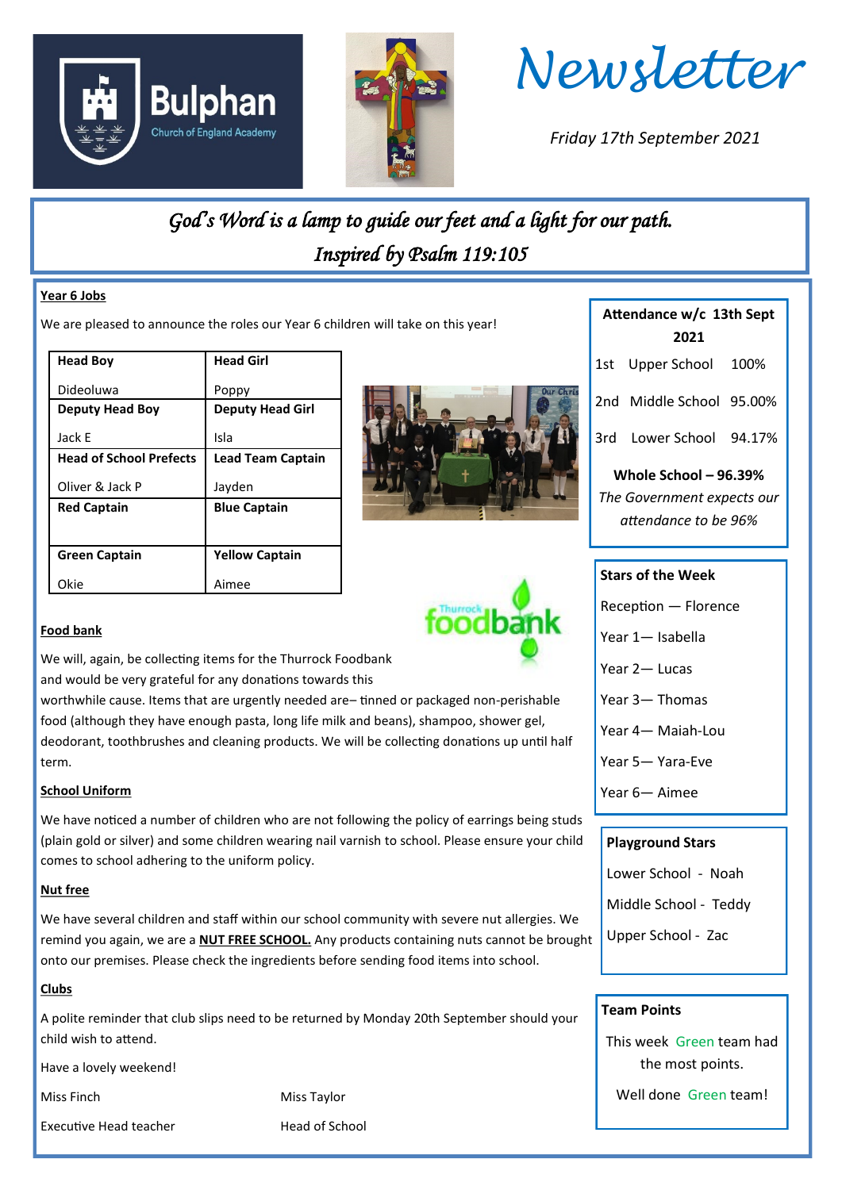





*Friday 17th September 2021*

**Attendance w/c 13th Sept 2021**

1st Upper School 100%

2nd Middle School 95.00%

3rd Lower School 94.17%

**Whole School – 96.39%** *The Government expects our attendance to be 96%*

## *God's Word is a lamp to guide our feet and a light for our path. Inspired by Psalm 119:105*

### **Year 6 Jobs**

**Food bank**

term.

**Nut free** 

**Clubs**

**School Uniform**

We are pleased to announce the roles our Year 6 children will take on this year!

| <b>Head Boy</b>                | <b>Head Girl</b>         |
|--------------------------------|--------------------------|
| Dideoluwa                      | Poppy                    |
| <b>Deputy Head Boy</b>         | <b>Deputy Head Girl</b>  |
| Jack E                         | Isla                     |
| <b>Head of School Prefects</b> | <b>Lead Team Captain</b> |
| Oliver & Jack P                | Jayden                   |
| <b>Red Captain</b>             | <b>Blue Captain</b>      |
|                                |                          |
| <b>Green Captain</b>           | <b>Yellow Captain</b>    |
|                                |                          |

We will, again, be collecting items for the Thurrock Foodbank and would be very grateful for any donations towards this

comes to school adhering to the uniform policy.

worthwhile cause. Items that are urgently needed are– tinned or packaged non-perishable food (although they have enough pasta, long life milk and beans), shampoo, shower gel, deodorant, toothbrushes and cleaning products. We will be collecting donations up until half

We have noticed a number of children who are not following the policy of earrings being studs (plain gold or silver) and some children wearing nail varnish to school. Please ensure your child

We have several children and staff within our school community with severe nut allergies. We remind you again, we are a **NUT FREE SCHOOL.** Any products containing nuts cannot be brought

A polite reminder that club slips need to be returned by Monday 20th September should your

onto our premises. Please check the ingredients before sending food items into school.





## **Stars of the Week**

- Reception Florence
- Year 1— Isabella
- Year 2— Lucas
- Year 3— Thomas
- Year 4— Maiah-Lou
- Year 5— Yara-Eve
- Year 6— Aimee

### **Playground Stars**

- Lower School Noah
- Middle School Teddy
- Upper School Zac

### **Team Points**

This week Green team had the most points.

Well done Green team!

Miss Finch Miss Taylor

child wish to attend.

Executive Head teacher **Head of School** 

Have a lovely weekend!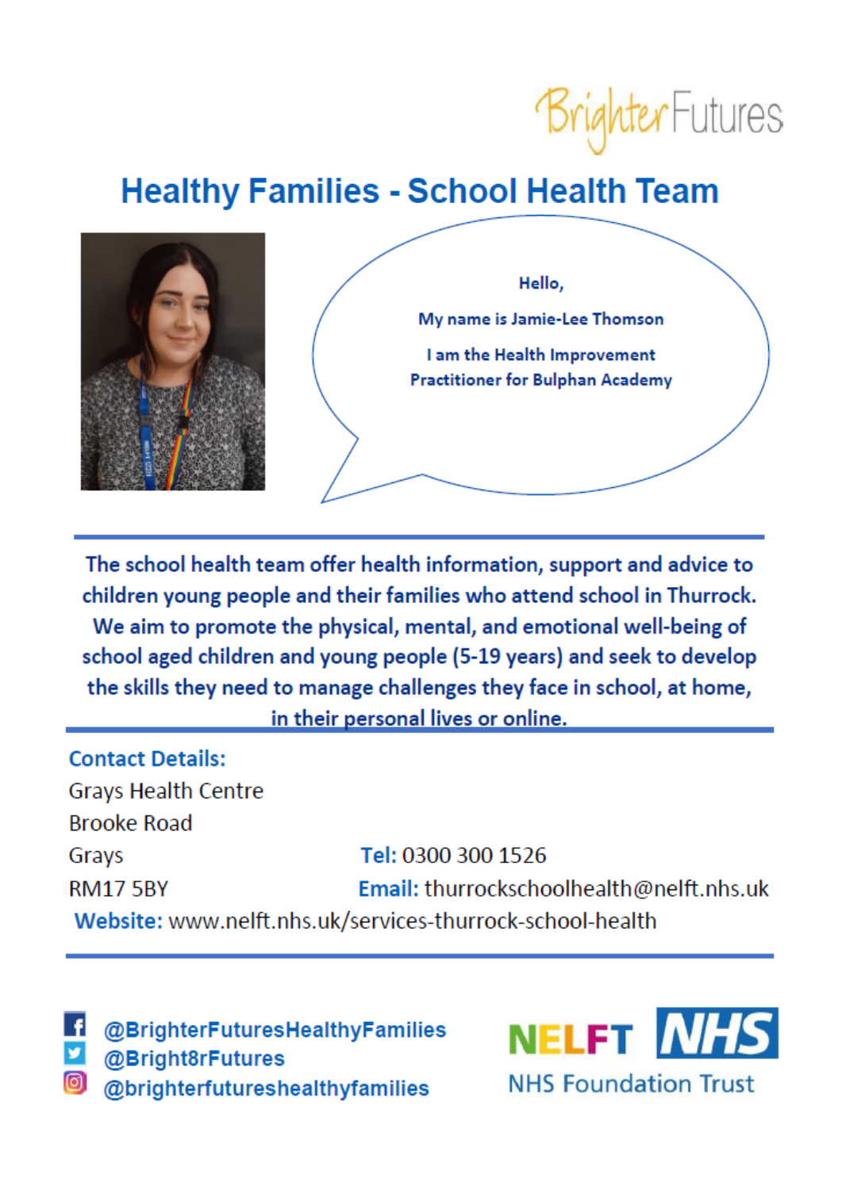

## **Healthy Families - School Health Team**



The school health team offer health information, support and advice to children young people and their families who attend school in Thurrock. We aim to promote the physical, mental, and emotional well-being of school aged children and young people (5-19 years) and seek to develop the skills they need to manage challenges they face in school, at home, in their personal lives or online.

**Contact Details: Grays Health Centre Brooke Road** Tel: 0300 300 1526 Grays Email: thurrockschoolhealth@nelft.nhs.uk **RM17 5BY** Website: www.nelft.nhs.uk/services-thurrock-school-health

@BrighterFuturesHealthyFamilies @Bright8rFutures @brighterfutureshealthyfamilies

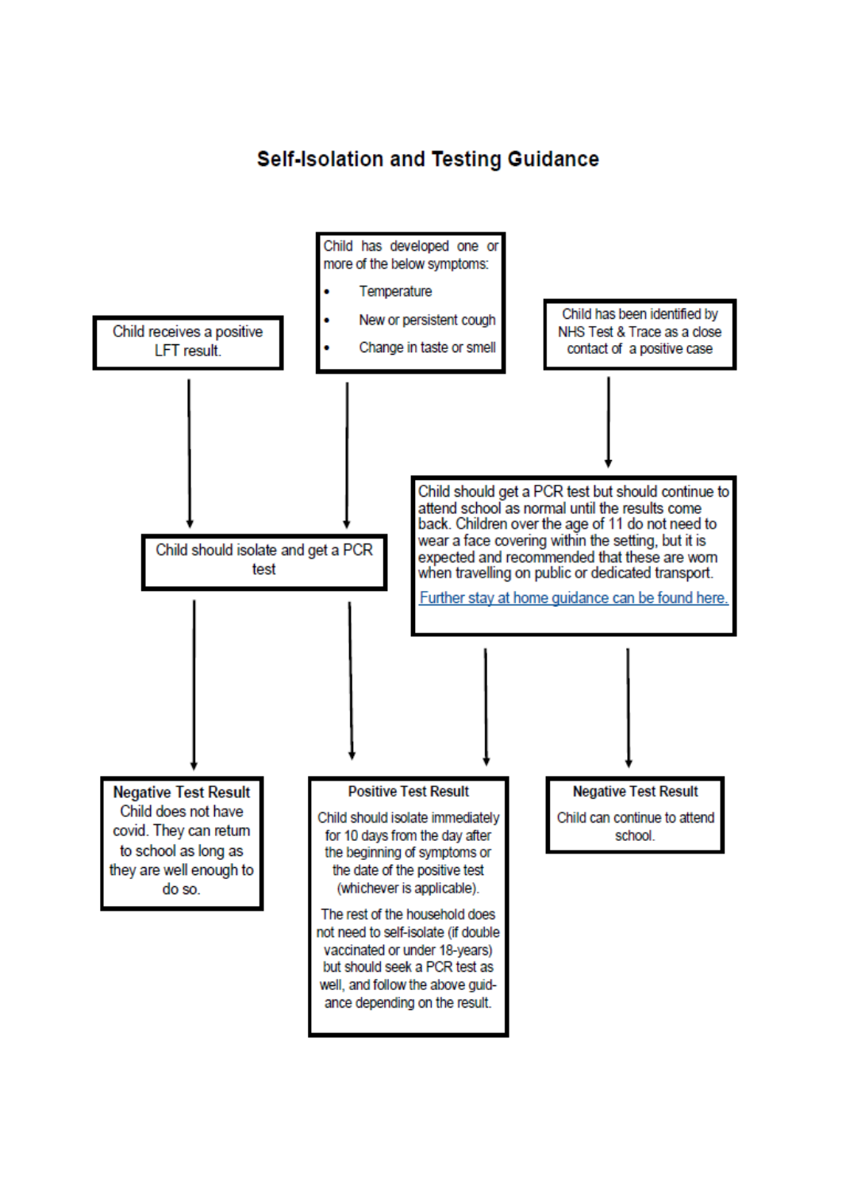### **Self-Isolation and Testing Guidance**

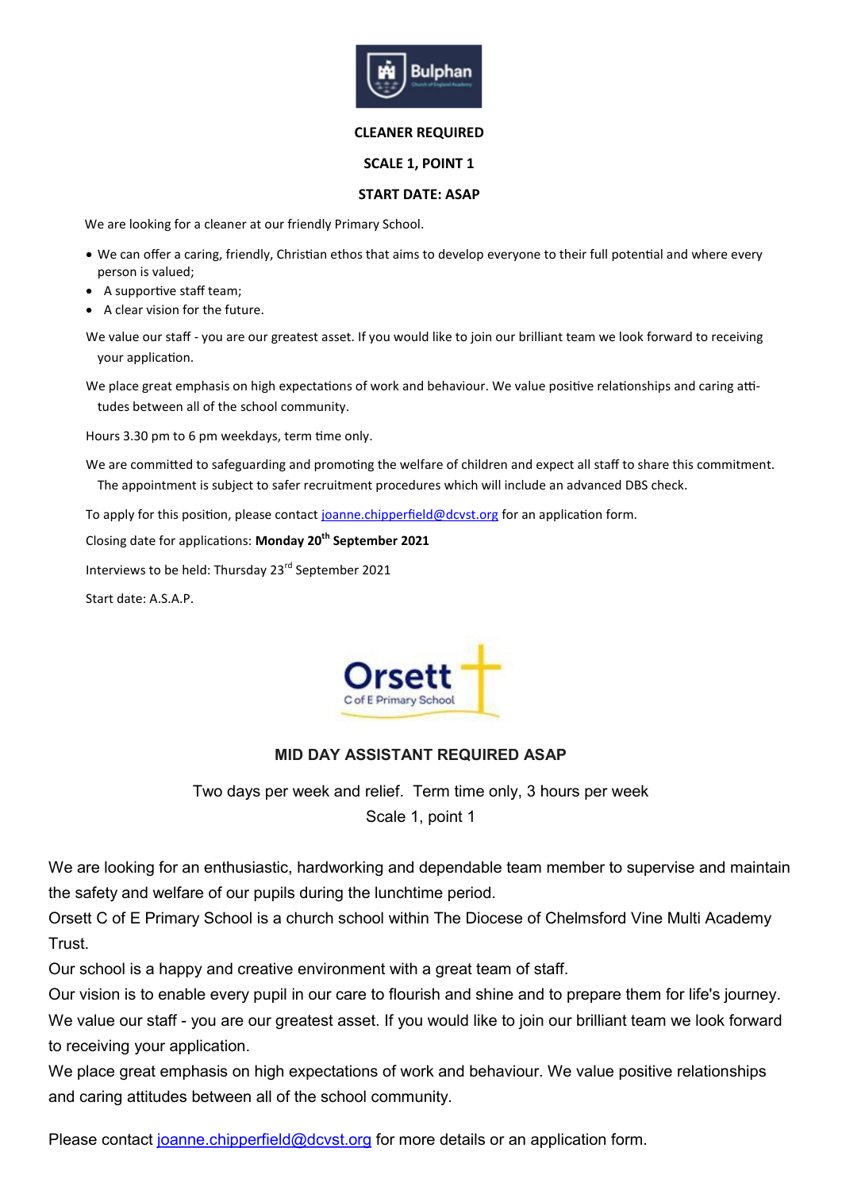

### **CLEANER REQUIRED**

### **SCALE 1, POINT 1**

### **START DATE: ASAP**

We are looking for a cleaner at our friendly Primary School.

- We can offer a caring, friendly, Christian ethos that aims to develop everyone to their full potential and where every person is valued;
- A supportive staff team;
- A clear vision for the future.

We value our staff - you are our greatest asset. If you would like to join our brilliant team we look forward to receiving your application.

We place great emphasis on high expectations of work and behaviour. We value positive relationships and caring attitudes between all of the school community.

Hours 3.30 pm to 6 pm weekdays, term time only.

We are committed to safeguarding and promoting the welfare of children and expect all staff to share this commitment. The appointment is subject to safer recruitment procedures which will include an advanced DBS check.

To apply for this position, please contact [joanne.chipperfield@dcvst.org](mailto:joanne.chipperfield@dcvst.org) for an application form.

Closing date for applications: **Monday 20th September 2021**

Interviews to be held: Thursday 23rd September 2021

Start date: A.S.A.P.



### **MID DAY ASSISTANT REQUIRED ASAP**

Two days per week and relief. Term time only, 3 hours per week Scale 1, point 1

We are looking for an enthusiastic, hardworking and dependable team member to supervise and maintain the safety and welfare of our pupils during the lunchtime period.

Orsett C of E Primary School is a church school within The Diocese of Chelmsford Vine Multi Academy Trust.

Our school is a happy and creative environment with a great team of staff.

Our vision is to enable every pupil in our care to flourish and shine and to prepare them for life's journey. We value our staff - you are our greatest asset. If you would like to join our brilliant team we look forward to receiving your application.

We place great emphasis on high expectations of work and behaviour. We value positive relationships and caring attitudes between all of the school community.

Please contact [joanne.chipperfield@dcvst.org](mailto:joanne.chipperfield@dcvst.org) for more details or an application form.